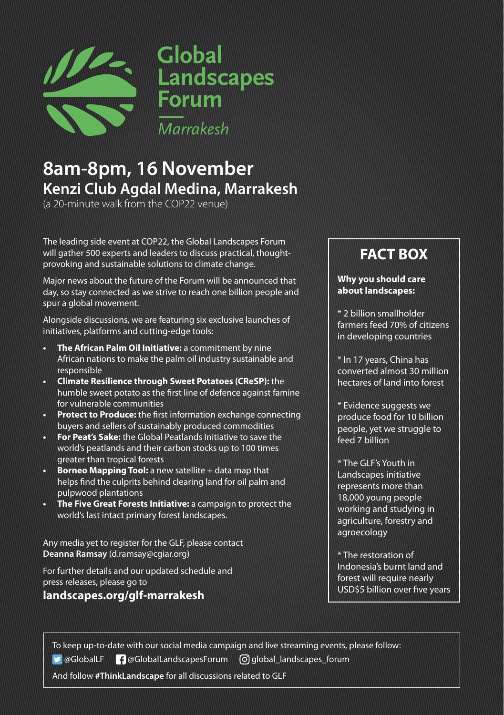

## **8am-8pm, 16 November Kenzi Club Agdal Medina, Marrakesh**

(a 20-minute walk from the COP22 venue)

The leading side event at COP22, the Global Landscapes Forum will gather 500 experts and leaders to discuss practical, thoughtprovoking and sustainable solutions to climate change.

Major news about the future of the Forum will be announced that day, so stay connected as we strive to reach one billion people and spur a global movement.

Alongside discussions, we are featuring six exclusive launches of initiatives, platforms and cutting-edge tools:

- **• The African Palm Oil Initiative:** a commitment by nine African nations to make the palm oil industry sustainable and responsible
- **• Climate Resilience through Sweet Potatoes (CReSP):** the humble sweet potato as the first line of defence against famine for vulnerable communities
- **• Protect to Produce:** the first information exchange connecting buyers and sellers of sustainably produced commodities
- **• For Peat's Sake:** the Global Peatlands Initiative to save the world's peatlands and their carbon stocks up to 100 times greater than tropical forests
- **• Borneo Mapping Tool:** a new satellite + data map that helps find the culprits behind clearing land for oil palm and pulpwood plantations
- **• The Five Great Forests Initiative:** a campaign to protect the world's last intact primary forest landscapes.

Any media yet to register for the GLF, please contact **Deanna Ramsay** (d.ramsay@cgiar.org)

For further details and our updated schedule and press releases, please go to

### **landscapes.org/glf-marrakesh**

## **FACT BOX**

#### **Why you should care about landscapes:**

\* 2 billion smallholder farmers feed 70% of citizens in developing countries

\* In 17 years, China has converted almost 30 million hectares of land into forest

\* Evidence suggests we produce food for 10 billion people, yet we struggle to feed 7 billion

\* The GLF's Youth in Landscapes initiative represents more than 18,000 young people working and studying in agriculture, forestry and agroecology

\* The restoration of Indonesia's burnt land and forest will require nearly USD\$5 billion over five years

To keep up-to-date with our social media campaign and live streaming events, please follow:

**D** @GlobalLF **@GlobalLandscapesForum [O]** global\_landscapes\_forum

And follow **#ThinkLandscape** for all discussions related to GLF